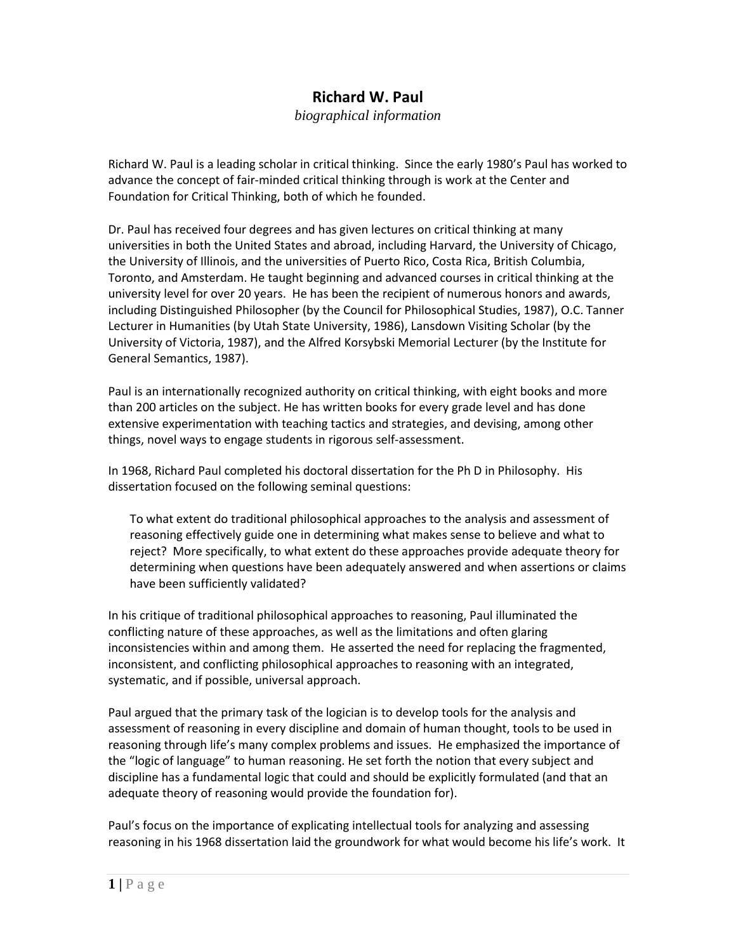# **Richard W. Paul**

*biographical information*

Richard W. Paul is a leading scholar in critical thinking. Since the early 1980's Paul has worked to advance the concept of fair-minded critical thinking through is work at the Center and Foundation for Critical Thinking, both of which he founded.

Dr. Paul has received four degrees and has given lectures on critical thinking at many universities in both the United States and abroad, including Harvard, the University of Chicago, the University of Illinois, and the universities of Puerto Rico, Costa Rica, British Columbia, Toronto, and Amsterdam. He taught beginning and advanced courses in critical thinking at the university level for over 20 years. He has been the recipient of numerous honors and awards, including Distinguished Philosopher (by the Council for Philosophical Studies, 1987), O.C. Tanner Lecturer in Humanities (by Utah State University, 1986), Lansdown Visiting Scholar (by the University of Victoria, 1987), and the Alfred Korsybski Memorial Lecturer (by the Institute for General Semantics, 1987).

Paul is an internationally recognized authority on critical thinking, with eight books and more than 200 articles on the subject. He has written books for every grade level and has done extensive experimentation with teaching tactics and strategies, and devising, among other things, novel ways to engage students in rigorous self-assessment.

In 1968, Richard Paul completed his doctoral dissertation for the Ph D in Philosophy. His dissertation focused on the following seminal questions:

To what extent do traditional philosophical approaches to the analysis and assessment of reasoning effectively guide one in determining what makes sense to believe and what to reject? More specifically, to what extent do these approaches provide adequate theory for determining when questions have been adequately answered and when assertions or claims have been sufficiently validated?

In his critique of traditional philosophical approaches to reasoning, Paul illuminated the conflicting nature of these approaches, as well as the limitations and often glaring inconsistencies within and among them. He asserted the need for replacing the fragmented, inconsistent, and conflicting philosophical approaches to reasoning with an integrated, systematic, and if possible, universal approach.

Paul argued that the primary task of the logician is to develop tools for the analysis and assessment of reasoning in every discipline and domain of human thought, tools to be used in reasoning through life's many complex problems and issues. He emphasized the importance of the "logic of language" to human reasoning. He set forth the notion that every subject and discipline has a fundamental logic that could and should be explicitly formulated (and that an adequate theory of reasoning would provide the foundation for).

Paul's focus on the importance of explicating intellectual tools for analyzing and assessing reasoning in his 1968 dissertation laid the groundwork for what would become his life's work. It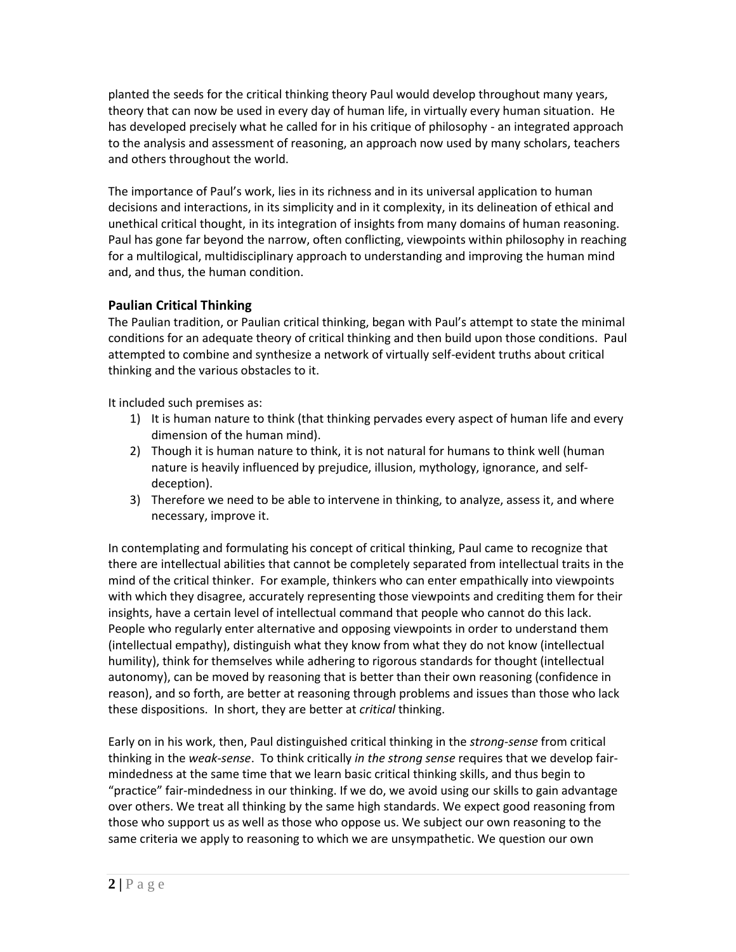planted the seeds for the critical thinking theory Paul would develop throughout many years, theory that can now be used in every day of human life, in virtually every human situation. He has developed precisely what he called for in his critique of philosophy - an integrated approach to the analysis and assessment of reasoning, an approach now used by many scholars, teachers and others throughout the world.

The importance of Paul's work, lies in its richness and in its universal application to human decisions and interactions, in its simplicity and in it complexity, in its delineation of ethical and unethical critical thought, in its integration of insights from many domains of human reasoning. Paul has gone far beyond the narrow, often conflicting, viewpoints within philosophy in reaching for a multilogical, multidisciplinary approach to understanding and improving the human mind and, and thus, the human condition.

# **Paulian Critical Thinking**

The Paulian tradition, or Paulian critical thinking, began with Paul's attempt to state the minimal conditions for an adequate theory of critical thinking and then build upon those conditions. Paul attempted to combine and synthesize a network of virtually self-evident truths about critical thinking and the various obstacles to it.

It included such premises as:

- 1) It is human nature to think (that thinking pervades every aspect of human life and every dimension of the human mind).
- 2) Though it is human nature to think, it is not natural for humans to think well (human nature is heavily influenced by prejudice, illusion, mythology, ignorance, and selfdeception).
- 3) Therefore we need to be able to intervene in thinking, to analyze, assess it, and where necessary, improve it.

In contemplating and formulating his concept of critical thinking, Paul came to recognize that there are intellectual abilities that cannot be completely separated from intellectual traits in the mind of the critical thinker. For example, thinkers who can enter empathically into viewpoints with which they disagree, accurately representing those viewpoints and crediting them for their insights, have a certain level of intellectual command that people who cannot do this lack. People who regularly enter alternative and opposing viewpoints in order to understand them (intellectual empathy), distinguish what they know from what they do not know (intellectual humility), think for themselves while adhering to rigorous standards for thought (intellectual autonomy), can be moved by reasoning that is better than their own reasoning (confidence in reason), and so forth, are better at reasoning through problems and issues than those who lack these dispositions. In short, they are better at *critical* thinking.

Early on in his work, then, Paul distinguished critical thinking in the *strong-sense* from critical thinking in the *weak-sense*. To think critically *in the strong sense* requires that we develop fairmindedness at the same time that we learn basic critical thinking skills, and thus begin to "practice" fair-mindedness in our thinking. If we do, we avoid using our skills to gain advantage over others. We treat all thinking by the same high standards. We expect good reasoning from those who support us as well as those who oppose us. We subject our own reasoning to the same criteria we apply to reasoning to which we are unsympathetic. We question our own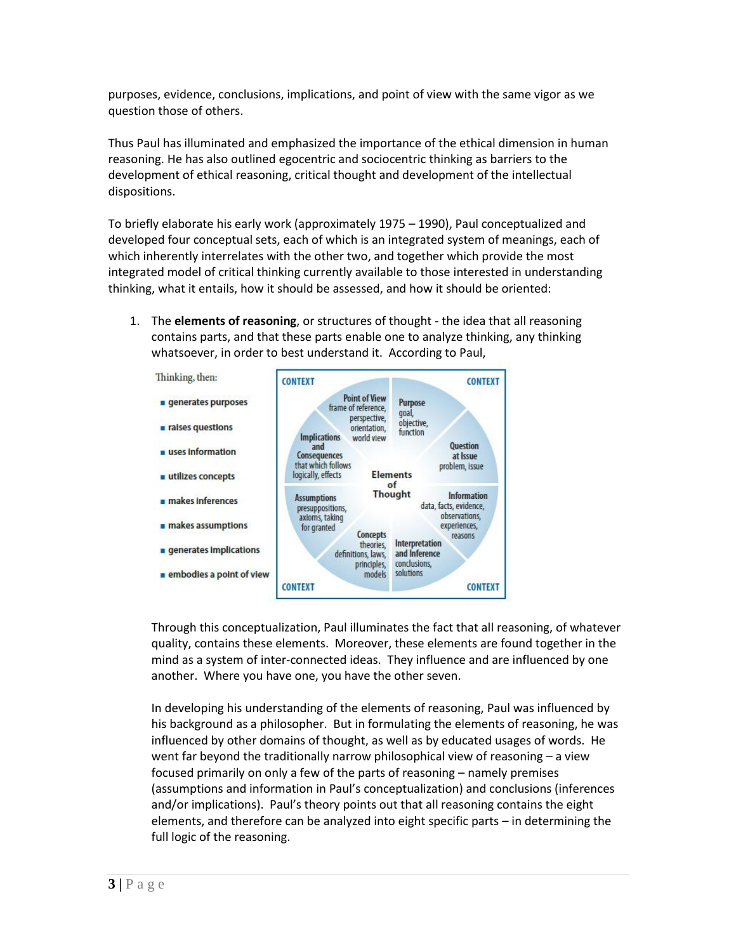purposes, evidence, conclusions, implications, and point of view with the same vigor as we question those of others.

Thus Paul has illuminated and emphasized the importance of the ethical dimension in human reasoning. He has also outlined egocentric and sociocentric thinking as barriers to the development of ethical reasoning, critical thought and development of the intellectual dispositions.

To briefly elaborate his early work (approximately 1975 – 1990), Paul conceptualized and developed four conceptual sets, each of which is an integrated system of meanings, each of which inherently interrelates with the other two, and together which provide the most integrated model of critical thinking currently available to those interested in understanding thinking, what it entails, how it should be assessed, and how it should be oriented:

1. The **elements of reasoning**, or structures of thought - the idea that all reasoning contains parts, and that these parts enable one to analyze thinking, any thinking whatsoever, in order to best understand it. According to Paul,



Through this conceptualization, Paul illuminates the fact that all reasoning, of whatever quality, contains these elements. Moreover, these elements are found together in the mind as a system of inter-connected ideas. They influence and are influenced by one another. Where you have one, you have the other seven.

In developing his understanding of the elements of reasoning, Paul was influenced by his background as a philosopher. But in formulating the elements of reasoning, he was influenced by other domains of thought, as well as by educated usages of words. He went far beyond the traditionally narrow philosophical view of reasoning – a view focused primarily on only a few of the parts of reasoning – namely premises (assumptions and information in Paul's conceptualization) and conclusions (inferences and/or implications). Paul's theory points out that all reasoning contains the eight elements, and therefore can be analyzed into eight specific parts – in determining the full logic of the reasoning.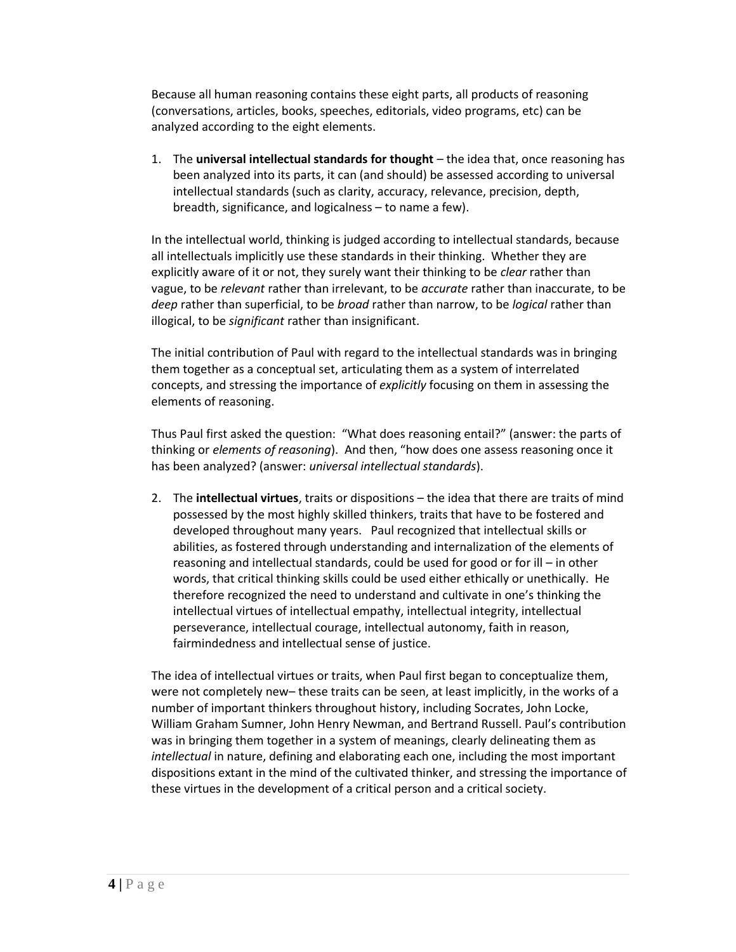Because all human reasoning contains these eight parts, all products of reasoning (conversations, articles, books, speeches, editorials, video programs, etc) can be analyzed according to the eight elements.

1. The **universal intellectual standards for thought** – the idea that, once reasoning has been analyzed into its parts, it can (and should) be assessed according to universal intellectual standards (such as clarity, accuracy, relevance, precision, depth, breadth, significance, and logicalness – to name a few).

In the intellectual world, thinking is judged according to intellectual standards, because all intellectuals implicitly use these standards in their thinking. Whether they are explicitly aware of it or not, they surely want their thinking to be *clear* rather than vague, to be *relevant* rather than irrelevant, to be *accurate* rather than inaccurate, to be *deep* rather than superficial, to be *broad* rather than narrow, to be *logical* rather than illogical, to be *significant* rather than insignificant.

The initial contribution of Paul with regard to the intellectual standards was in bringing them together as a conceptual set, articulating them as a system of interrelated concepts, and stressing the importance of *explicitly* focusing on them in assessing the elements of reasoning.

Thus Paul first asked the question: "What does reasoning entail?" (answer: the parts of thinking or *elements of reasoning*). And then, "how does one assess reasoning once it has been analyzed? (answer: *universal intellectual standards*).

2. The **intellectual virtues**, traits or dispositions – the idea that there are traits of mind possessed by the most highly skilled thinkers, traits that have to be fostered and developed throughout many years. Paul recognized that intellectual skills or abilities, as fostered through understanding and internalization of the elements of reasoning and intellectual standards, could be used for good or for ill – in other words, that critical thinking skills could be used either ethically or unethically. He therefore recognized the need to understand and cultivate in one's thinking the intellectual virtues of intellectual empathy, intellectual integrity, intellectual perseverance, intellectual courage, intellectual autonomy, faith in reason, fairmindedness and intellectual sense of justice.

The idea of intellectual virtues or traits, when Paul first began to conceptualize them, were not completely new– these traits can be seen, at least implicitly, in the works of a number of important thinkers throughout history, including Socrates, John Locke, William Graham Sumner, John Henry Newman, and Bertrand Russell. Paul's contribution was in bringing them together in a system of meanings, clearly delineating them as *intellectual* in nature, defining and elaborating each one, including the most important dispositions extant in the mind of the cultivated thinker, and stressing the importance of these virtues in the development of a critical person and a critical society.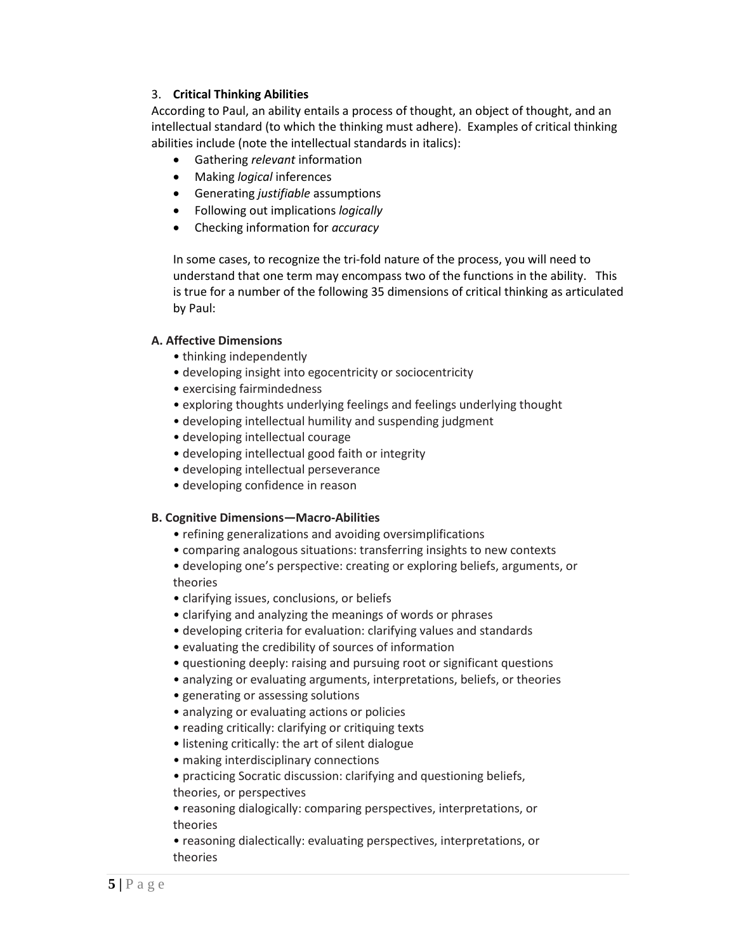### 3. **Critical Thinking Abilities**

According to Paul, an ability entails a process of thought, an object of thought, and an intellectual standard (to which the thinking must adhere). Examples of critical thinking abilities include (note the intellectual standards in italics):

- Gathering *relevant* information
- Making *logical* inferences
- Generating *justifiable* assumptions
- Following out implications *logically*
- Checking information for *accuracy*

In some cases, to recognize the tri-fold nature of the process, you will need to understand that one term may encompass two of the functions in the ability. This is true for a number of the following 35 dimensions of critical thinking as articulated by Paul:

#### **A. Affective Dimensions**

- thinking independently
- developing insight into egocentricity or sociocentricity
- exercising fairmindedness
- exploring thoughts underlying feelings and feelings underlying thought
- developing intellectual humility and suspending judgment
- developing intellectual courage
- developing intellectual good faith or integrity
- developing intellectual perseverance
- developing confidence in reason

#### **B. Cognitive Dimensions—Macro-Abilities**

- refining generalizations and avoiding oversimplifications
- comparing analogous situations: transferring insights to new contexts
- developing one's perspective: creating or exploring beliefs, arguments, or theories
- clarifying issues, conclusions, or beliefs
- clarifying and analyzing the meanings of words or phrases
- developing criteria for evaluation: clarifying values and standards
- evaluating the credibility of sources of information
- questioning deeply: raising and pursuing root or significant questions
- analyzing or evaluating arguments, interpretations, beliefs, or theories
- generating or assessing solutions
- analyzing or evaluating actions or policies
- reading critically: clarifying or critiquing texts
- listening critically: the art of silent dialogue
- making interdisciplinary connections

• practicing Socratic discussion: clarifying and questioning beliefs,

theories, or perspectives

• reasoning dialogically: comparing perspectives, interpretations, or theories

• reasoning dialectically: evaluating perspectives, interpretations, or theories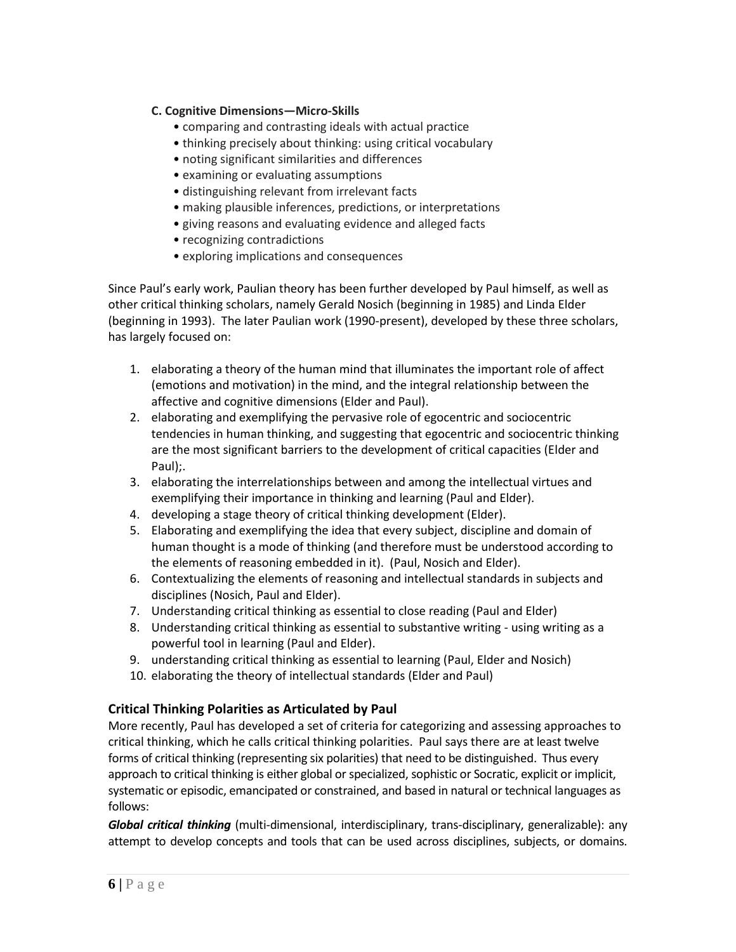## **C. Cognitive Dimensions—Micro-Skills**

- comparing and contrasting ideals with actual practice
- thinking precisely about thinking: using critical vocabulary
- noting significant similarities and differences
- examining or evaluating assumptions
- distinguishing relevant from irrelevant facts
- making plausible inferences, predictions, or interpretations
- giving reasons and evaluating evidence and alleged facts
- recognizing contradictions
- exploring implications and consequences

Since Paul's early work, Paulian theory has been further developed by Paul himself, as well as other critical thinking scholars, namely Gerald Nosich (beginning in 1985) and Linda Elder (beginning in 1993). The later Paulian work (1990-present), developed by these three scholars, has largely focused on:

- 1. elaborating a theory of the human mind that illuminates the important role of affect (emotions and motivation) in the mind, and the integral relationship between the affective and cognitive dimensions (Elder and Paul).
- 2. elaborating and exemplifying the pervasive role of egocentric and sociocentric tendencies in human thinking, and suggesting that egocentric and sociocentric thinking are the most significant barriers to the development of critical capacities (Elder and Paul);.
- 3. elaborating the interrelationships between and among the intellectual virtues and exemplifying their importance in thinking and learning (Paul and Elder).
- 4. developing a stage theory of critical thinking development (Elder).
- 5. Elaborating and exemplifying the idea that every subject, discipline and domain of human thought is a mode of thinking (and therefore must be understood according to the elements of reasoning embedded in it). (Paul, Nosich and Elder).
- 6. Contextualizing the elements of reasoning and intellectual standards in subjects and disciplines (Nosich, Paul and Elder).
- 7. Understanding critical thinking as essential to close reading (Paul and Elder)
- 8. Understanding critical thinking as essential to substantive writing using writing as a powerful tool in learning (Paul and Elder).
- 9. understanding critical thinking as essential to learning (Paul, Elder and Nosich)
- 10. elaborating the theory of intellectual standards (Elder and Paul)

# **Critical Thinking Polarities as Articulated by Paul**

More recently, Paul has developed a set of criteria for categorizing and assessing approaches to critical thinking, which he calls critical thinking polarities. Paul says there are at least twelve forms of critical thinking (representing six polarities) that need to be distinguished. Thus every approach to critical thinking is either global or specialized, sophistic or Socratic, explicit or implicit, systematic or episodic, emancipated or constrained, and based in natural or technical languages as follows:

*Global critical thinking* (multi-dimensional, interdisciplinary, trans-disciplinary, generalizable): any attempt to develop concepts and tools that can be used across disciplines, subjects, or domains.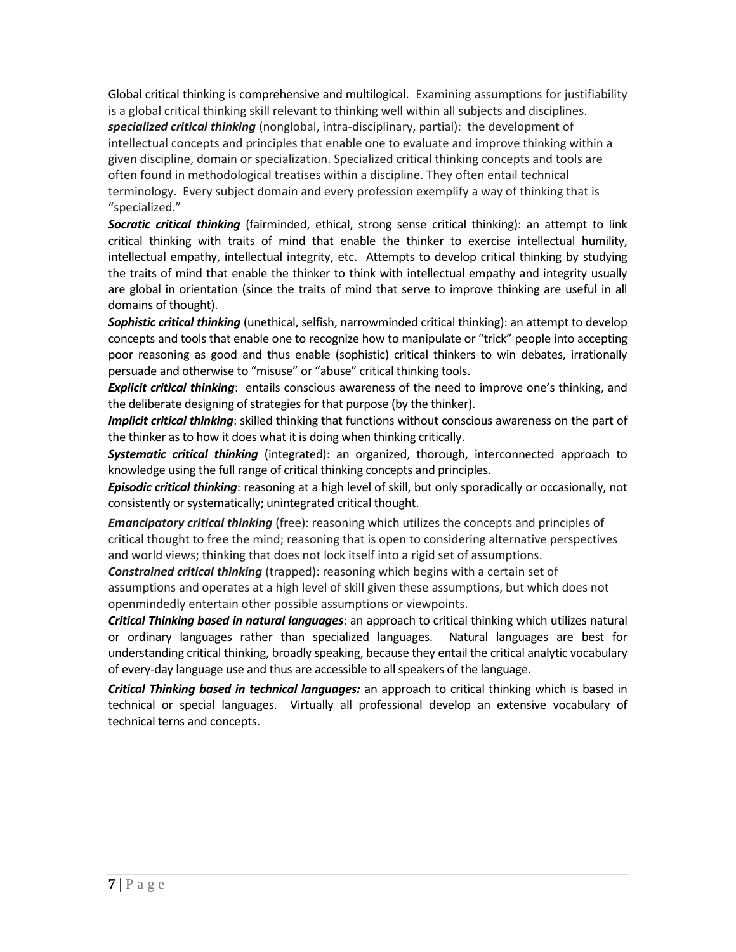Global critical thinking is comprehensive and multilogical. Examining assumptions for justifiability is a global critical thinking skill relevant to thinking well within all subjects and disciplines. *specialized critical thinking* (nonglobal, intra-disciplinary, partial): the development of intellectual concepts and principles that enable one to evaluate and improve thinking within a given discipline, domain or specialization. Specialized critical thinking concepts and tools are often found in methodological treatises within a discipline. They often entail technical terminology. Every subject domain and every profession exemplify a way of thinking that is "specialized."

*Socratic critical thinking* (fairminded, ethical, strong sense critical thinking): an attempt to link critical thinking with traits of mind that enable the thinker to exercise intellectual humility, intellectual empathy, intellectual integrity, etc. Attempts to develop critical thinking by studying the traits of mind that enable the thinker to think with intellectual empathy and integrity usually are global in orientation (since the traits of mind that serve to improve thinking are useful in all domains of thought).

*Sophistic critical thinking* (unethical, selfish, narrowminded critical thinking): an attempt to develop concepts and tools that enable one to recognize how to manipulate or "trick" people into accepting poor reasoning as good and thus enable (sophistic) critical thinkers to win debates, irrationally persuade and otherwise to "misuse" or "abuse" critical thinking tools.

*Explicit critical thinking*: entails conscious awareness of the need to improve one's thinking, and the deliberate designing of strategies for that purpose (by the thinker).

*Implicit critical thinking*: skilled thinking that functions without conscious awareness on the part of the thinker as to how it does what it is doing when thinking critically.

*Systematic critical thinking* (integrated): an organized, thorough, interconnected approach to knowledge using the full range of critical thinking concepts and principles.

*Episodic critical thinking*: reasoning at a high level of skill, but only sporadically or occasionally, not consistently or systematically; unintegrated critical thought.

*Emancipatory critical thinking* (free): reasoning which utilizes the concepts and principles of critical thought to free the mind; reasoning that is open to considering alternative perspectives and world views; thinking that does not lock itself into a rigid set of assumptions.

*Constrained critical thinking* (trapped): reasoning which begins with a certain set of assumptions and operates at a high level of skill given these assumptions, but which does not openmindedly entertain other possible assumptions or viewpoints.

*Critical Thinking based in natural languages*: an approach to critical thinking which utilizes natural or ordinary languages rather than specialized languages. Natural languages are best for understanding critical thinking, broadly speaking, because they entail the critical analytic vocabulary of every-day language use and thus are accessible to all speakers of the language.

*Critical Thinking based in technical languages:* an approach to critical thinking which is based in technical or special languages. Virtually all professional develop an extensive vocabulary of technical terns and concepts.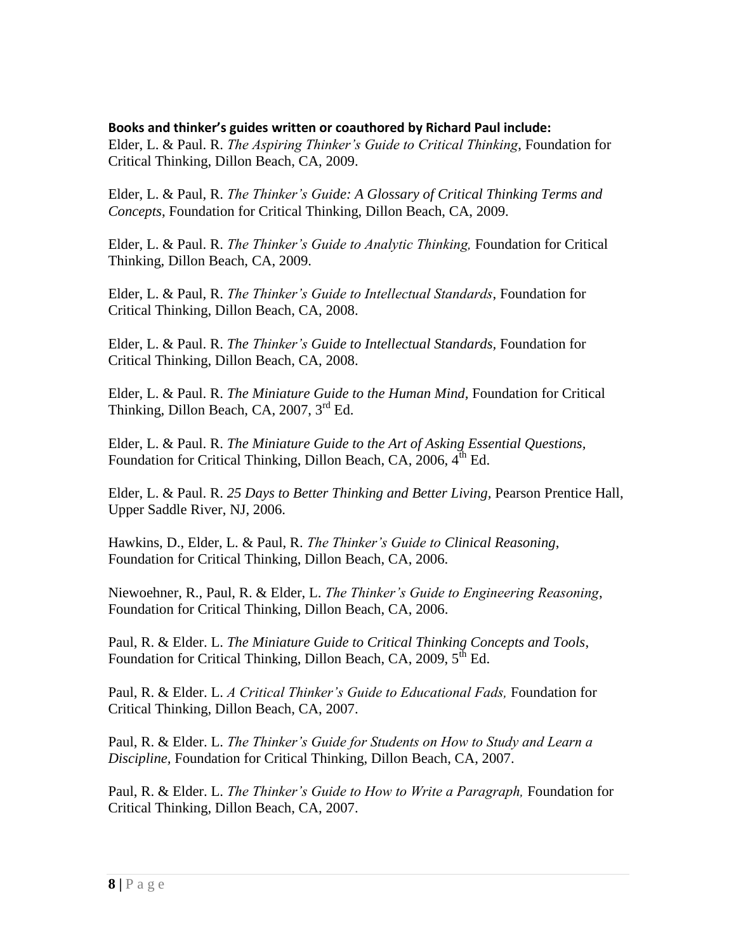## **Books and thinker's guides written or coauthored by Richard Paul include:**

Elder, L. & Paul. R. *The Aspiring Thinker's Guide to Critical Thinking*, Foundation for Critical Thinking, Dillon Beach, CA, 2009.

Elder, L. & Paul, R. *The Thinker's Guide: A Glossary of Critical Thinking Terms and Concepts*, Foundation for Critical Thinking, Dillon Beach, CA, 2009.

Elder, L. & Paul. R. *The Thinker's Guide to Analytic Thinking,* Foundation for Critical Thinking, Dillon Beach, CA, 2009.

Elder, L. & Paul, R. *The Thinker's Guide to Intellectual Standards*, Foundation for Critical Thinking, Dillon Beach, CA, 2008.

Elder, L. & Paul. R. *The Thinker's Guide to Intellectual Standards,* Foundation for Critical Thinking, Dillon Beach, CA, 2008.

Elder, L. & Paul. R. *The Miniature Guide to the Human Mind,* Foundation for Critical Thinking, Dillon Beach, CA, 2007,  $3^{\text{rd}}$  Ed.

Elder, L. & Paul. R. *The Miniature Guide to the Art of Asking Essential Questions,* Foundation for Critical Thinking, Dillon Beach, CA, 2006,  $4<sup>th</sup>$  Ed.

Elder, L. & Paul. R. *25 Days to Better Thinking and Better Living,* Pearson Prentice Hall, Upper Saddle River, NJ, 2006.

Hawkins, D., Elder, L. & Paul, R. *The Thinker's Guide to Clinical Reasoning*, Foundation for Critical Thinking, Dillon Beach, CA, 2006.

Niewoehner, R., Paul, R. & Elder, L. *The Thinker's Guide to Engineering Reasoning*, Foundation for Critical Thinking, Dillon Beach, CA, 2006.

Paul, R. & Elder. L. *The Miniature Guide to Critical Thinking Concepts and Tools*, Foundation for Critical Thinking, Dillon Beach, CA, 2009,  $5<sup>th</sup>$  Ed.

Paul, R. & Elder. L. *A Critical Thinker's Guide to Educational Fads,* Foundation for Critical Thinking, Dillon Beach, CA, 2007.

Paul, R. & Elder. L. *The Thinker's Guide for Students on How to Study and Learn a Discipline,* Foundation for Critical Thinking, Dillon Beach, CA, 2007.

Paul, R. & Elder. L. *The Thinker's Guide to How to Write a Paragraph,* Foundation for Critical Thinking, Dillon Beach, CA, 2007.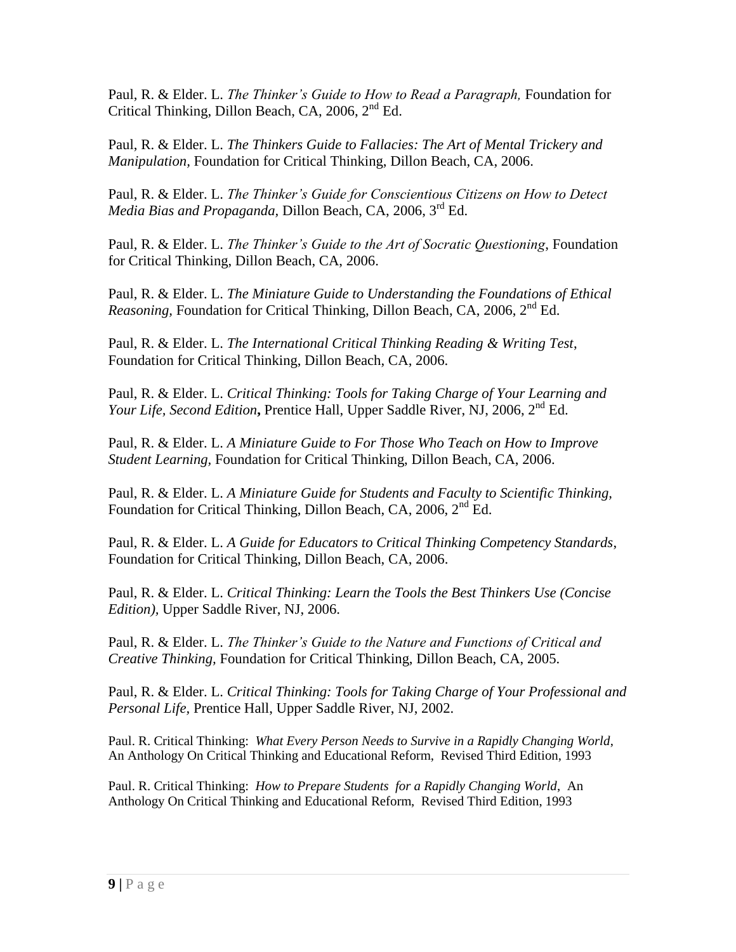Paul, R. & Elder. L. *The Thinker's Guide to How to Read a Paragraph,* Foundation for Critical Thinking, Dillon Beach, CA,  $2006$ ,  $2<sup>nd</sup>$  Ed.

Paul, R. & Elder. L. *The Thinkers Guide to Fallacies: The Art of Mental Trickery and Manipulation,* Foundation for Critical Thinking, Dillon Beach, CA, 2006.

Paul, R. & Elder. L. *The Thinker's Guide for Conscientious Citizens on How to Detect Media Bias and Propaganda,* Dillon Beach, CA, 2006, 3rd Ed.

Paul, R. & Elder. L. *The Thinker's Guide to the Art of Socratic Questioning*, Foundation for Critical Thinking, Dillon Beach, CA, 2006.

Paul, R. & Elder. L. *The Miniature Guide to Understanding the Foundations of Ethical Reasoning,* Foundation for Critical Thinking, Dillon Beach, CA, 2006, 2nd Ed.

Paul, R. & Elder. L. *The International Critical Thinking Reading & Writing Test*, Foundation for Critical Thinking, Dillon Beach, CA, 2006.

Paul, R. & Elder. L. *Critical Thinking: Tools for Taking Charge of Your Learning and Your Life, Second Edition*, Prentice Hall, Upper Saddle River, NJ, 2006, 2<sup>nd</sup> Ed.

Paul, R. & Elder. L. *A Miniature Guide to For Those Who Teach on How to Improve Student Learning,* Foundation for Critical Thinking, Dillon Beach, CA, 2006.

Paul, R. & Elder. L. *A Miniature Guide for Students and Faculty to Scientific Thinking,*  Foundation for Critical Thinking, Dillon Beach, CA, 2006, 2nd Ed.

Paul, R. & Elder. L. *A Guide for Educators to Critical Thinking Competency Standards*, Foundation for Critical Thinking, Dillon Beach, CA, 2006.

Paul, R. & Elder. L. *Critical Thinking: Learn the Tools the Best Thinkers Use (Concise Edition),* Upper Saddle River, NJ, 2006.

Paul, R. & Elder. L. *The Thinker's Guide to the Nature and Functions of Critical and Creative Thinking,* Foundation for Critical Thinking, Dillon Beach, CA, 2005.

Paul, R. & Elder. L. *Critical Thinking: Tools for Taking Charge of Your Professional and Personal Life,* Prentice Hall, Upper Saddle River, NJ, 2002.

Paul. R. Critical Thinking: *What Every Person Needs to Survive in a Rapidly Changing World*, An Anthology On Critical Thinking and Educational Reform, Revised Third Edition, 1993

Paul. R. Critical Thinking: *How to Prepare Students for a Rapidly Changing World*, An Anthology On Critical Thinking and Educational Reform, Revised Third Edition, 1993